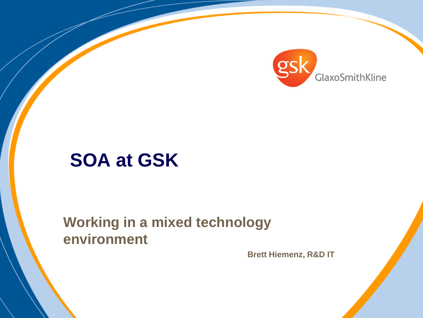

# **SOA at GSK**

**Working in a mixed technology environment**

**Brett Hiemenz, R&D IT**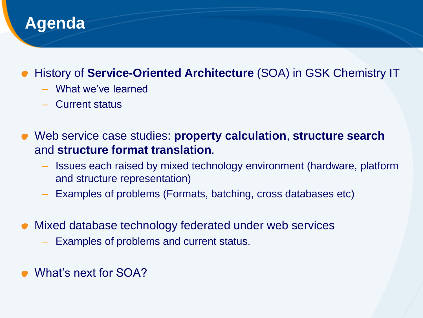

#### History of **Service-Oriented Architecture** (SOA) in GSK Chemistry IT

- What we've learned
- Current status
- Web service case studies: **property calculation**, **structure search** and **structure format translation**.
	- Issues each raised by mixed technology environment (hardware, platform and structure representation)
	- Examples of problems (Formats, batching, cross databases etc)
- Mixed database technology federated under web services
	- Examples of problems and current status.
- What's next for SOA?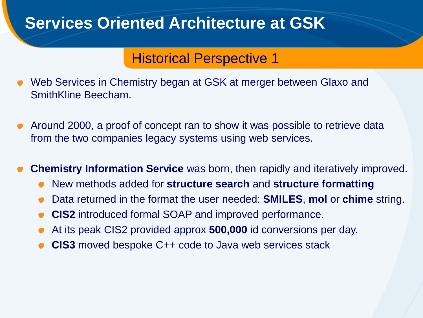#### Historical Perspective 1

- Web Services in Chemistry began at GSK at merger between Glaxo and SmithKline Beecham.
- Around 2000, a proof of concept ran to show it was possible to retrieve data from the two companies legacy systems using web services.

**Chemistry Information Service** was born, then rapidly and iteratively improved.

- New methods added for **structure search** and **structure formatting**
- Data returned in the format the user needed: **SMILES**, **mol** or **chime** string.
- **CIS2** introduced formal SOAP and improved performance.
- At its peak CIS2 provided approx **500,000** id conversions per day.
- **CIS3** moved bespoke C++ code to Java web services stack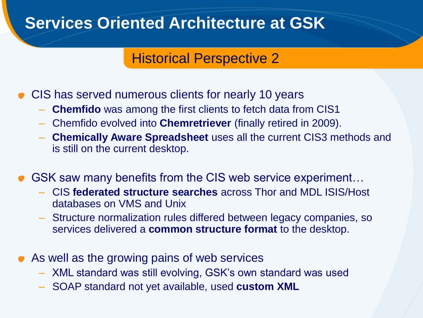#### Historical Perspective 2

- CIS has served numerous clients for nearly 10 years
	- **Chemfido** was among the first clients to fetch data from CIS1
	- Chemfido evolved into **Chemretriever** (finally retired in 2009).
	- **Chemically Aware Spreadsheet** uses all the current CIS3 methods and is still on the current desktop.
- GSK saw many benefits from the CIS web service experiment...
	- CIS **federated structure searches** across Thor and MDL ISIS/Host databases on VMS and Unix
	- Structure normalization rules differed between legacy companies, so services delivered a **common structure format** to the desktop.
- As well as the growing pains of web services
	- XML standard was still evolving, GSK's own standard was used
	- SOAP standard not yet available, used **custom XML**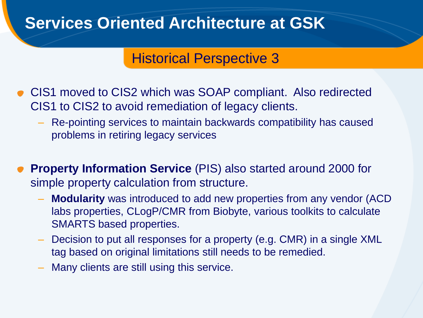#### Historical Perspective 3

- CIS1 moved to CIS2 which was SOAP compliant. Also redirected CIS1 to CIS2 to avoid remediation of legacy clients.
	- Re-pointing services to maintain backwards compatibility has caused problems in retiring legacy services
- **Property Information Service** (PIS) also started around 2000 for simple property calculation from structure.
	- **Modularity** was introduced to add new properties from any vendor (ACD labs properties, CLogP/CMR from Biobyte, various toolkits to calculate SMARTS based properties.
	- Decision to put all responses for a property (e.g. CMR) in a single XML tag based on original limitations still needs to be remedied.
	- Many clients are still using this service.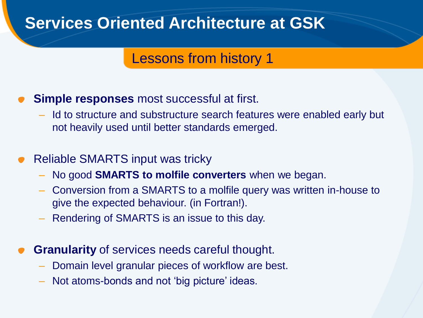#### Lessons from history 1

- **Simple responses** most successful at first.
	- Id to structure and substructure search features were enabled early but not heavily used until better standards emerged.
- Reliable SMARTS input was tricky
	- No good **SMARTS to molfile converters** when we began.
	- Conversion from a SMARTS to a molfile query was written in-house to give the expected behaviour. (in Fortran!).
	- Rendering of SMARTS is an issue to this day.
- **Granularity** of services needs careful thought.
	- Domain level granular pieces of workflow are best.
	- Not atoms-bonds and not 'big picture' ideas.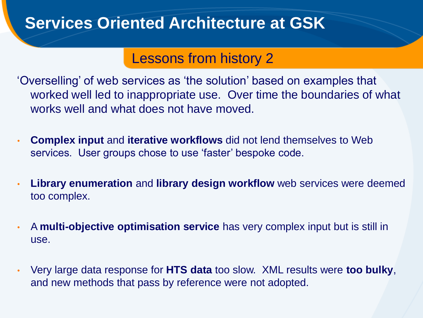#### Lessons from history 2

'Overselling' of web services as 'the solution' based on examples that worked well led to inappropriate use. Over time the boundaries of what works well and what does not have moved.

- **Complex input** and **iterative workflows** did not lend themselves to Web services. User groups chose to use 'faster' bespoke code.
- **Library enumeration** and **library design workflow** web services were deemed too complex.
- A **multi-objective optimisation service** has very complex input but is still in use.
- Very large data response for **HTS data** too slow. XML results were **too bulky**, and new methods that pass by reference were not adopted.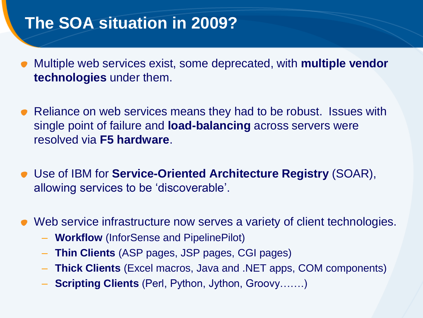### **The SOA situation in 2009?**

- Multiple web services exist, some deprecated, with **multiple vendor technologies** under them.
- Reliance on web services means they had to be robust. Issues with single point of failure and **load-balancing** across servers were resolved via **F5 hardware**.
- Use of IBM for **Service-Oriented Architecture Registry** (SOAR), allowing services to be 'discoverable'.
- Web service infrastructure now serves a variety of client technologies.
	- **Workflow** (InforSense and PipelinePilot)
	- **Thin Clients** (ASP pages, JSP pages, CGI pages)
	- **Thick Clients** (Excel macros, Java and .NET apps, COM components)
	- **Scripting Clients** (Perl, Python, Jython, Groovy…….)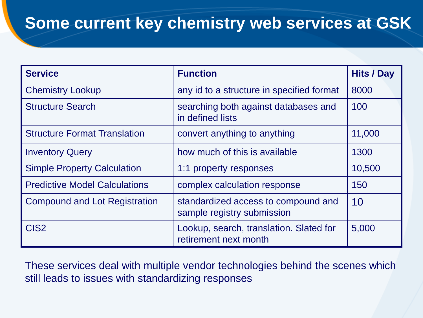# **Some current key chemistry web services at GSK**

| <b>Service</b>                       | <b>Function</b>                                                   | <b>Hits / Day</b> |
|--------------------------------------|-------------------------------------------------------------------|-------------------|
| <b>Chemistry Lookup</b>              | any id to a structure in specified format                         | 8000              |
| <b>Structure Search</b>              | searching both against databases and<br>in defined lists          | 100               |
| <b>Structure Format Translation</b>  | convert anything to anything                                      | 11,000            |
| <b>Inventory Query</b>               | how much of this is available                                     | 1300              |
| <b>Simple Property Calculation</b>   | 1:1 property responses                                            | 10,500            |
| <b>Predictive Model Calculations</b> | complex calculation response                                      | 150               |
| <b>Compound and Lot Registration</b> | standardized access to compound and<br>sample registry submission | 10                |
| CIS <sub>2</sub>                     | Lookup, search, translation. Slated for<br>retirement next month  | 5,000             |

These services deal with multiple vendor technologies behind the scenes which still leads to issues with standardizing responses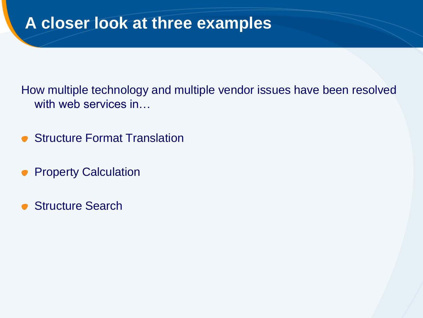#### **A closer look at three examples**

How multiple technology and multiple vendor issues have been resolved with web services in...

- Structure Format Translation  $\bullet$
- Property Calculation  $\bullet$
- Structure Search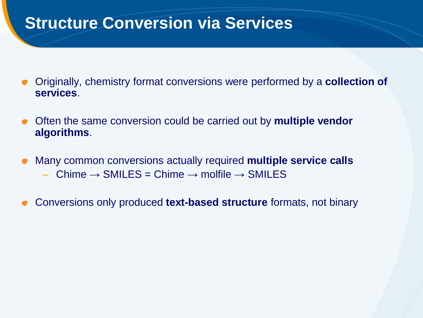#### **Structure Conversion via Services**

- Originally, chemistry format conversions were performed by a **collection of services**.
- Often the same conversion could be carried out by **multiple vendor algorithms**.
- Many common conversions actually required **multiple service calls** Chime  $\rightarrow$  SMILES = Chime  $\rightarrow$  molfile  $\rightarrow$  SMILES
- Conversions only produced **text-based structure** formats, not binary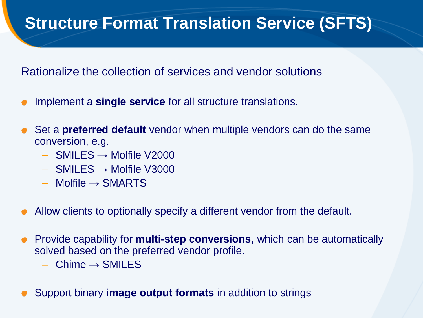## **Structure Format Translation Service (SFTS)**

Rationalize the collection of services and vendor solutions

- Implement a **single service** for all structure translations.
- Set a **preferred default** vendor when multiple vendors can do the same conversion, e.g.
	- $-$  SMILES  $\rightarrow$  Molfile V2000
	- $-$  SMILES  $\rightarrow$  Molfile V3000
	- $-$  Molfile  $\rightarrow$  SMARTS
- Allow clients to optionally specify a different vendor from the default.
- Provide capability for **multi-step conversions**, which can be automatically solved based on the preferred vendor profile.
	- $Chime \rightarrow SMILES$
- Support binary **image output formats** in addition to strings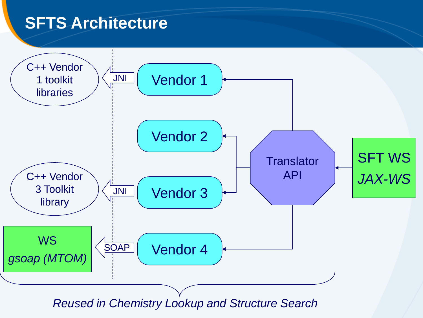### **SFTS Architecture**

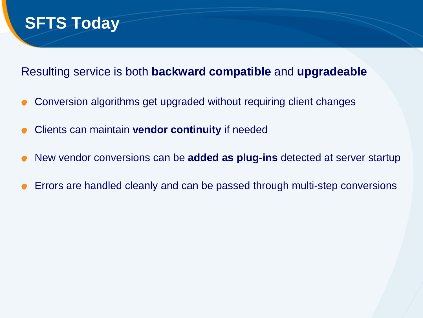

#### Resulting service is both **backward compatible** and **upgradeable**

- Conversion algorithms get upgraded without requiring client changes
- Clients can maintain **vendor continuity** if needed
- New vendor conversions can be **added as plug-ins** detected at server startup
- Errors are handled cleanly and can be passed through multi-step conversions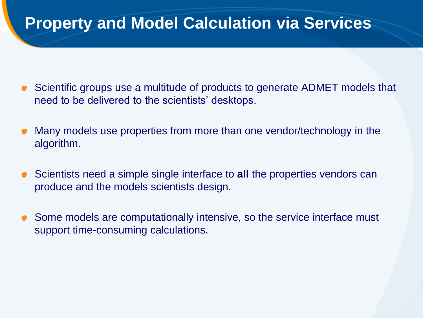#### **Property and Model Calculation via Services**

- Scientific groups use a multitude of products to generate ADMET models that  $\bullet$ need to be delivered to the scientists' desktops.
- Many models use properties from more than one vendor/technology in the algorithm.
- Scientists need a simple single interface to **all** the properties vendors can produce and the models scientists design.
- Some models are computationally intensive, so the service interface must support time-consuming calculations.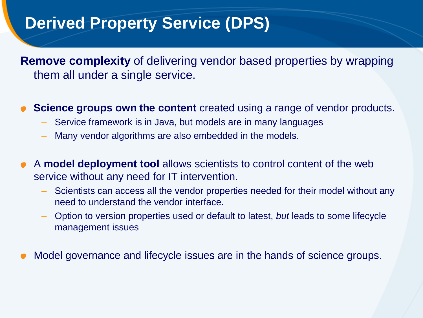## **Derived Property Service (DPS)**

**Remove complexity** of delivering vendor based properties by wrapping them all under a single service.

- **Science groups own the content** created using a range of vendor products.
	- Service framework is in Java, but models are in many languages
	- Many vendor algorithms are also embedded in the models.
- A **model deployment tool** allows scientists to control content of the web  $\bullet$ service without any need for IT intervention.
	- Scientists can access all the vendor properties needed for their model without any need to understand the vendor interface.
	- Option to version properties used or default to latest, *but* leads to some lifecycle management issues
- Model governance and lifecycle issues are in the hands of science groups.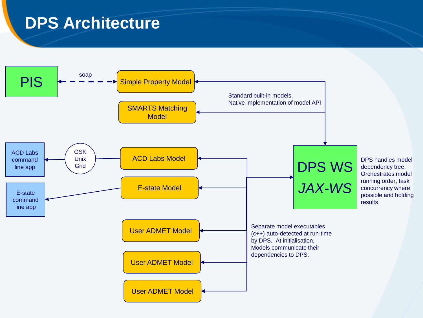### **DPS Architecture**

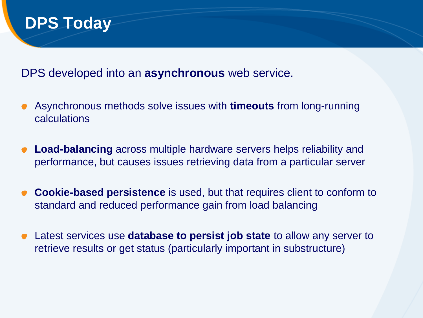#### **DPS Today**

DPS developed into an **asynchronous** web service.

- Asynchronous methods solve issues with **timeouts** from long-running calculations
- **Load-balancing** across multiple hardware servers helps reliability and performance, but causes issues retrieving data from a particular server
- **Cookie-based persistence** is used, but that requires client to conform to standard and reduced performance gain from load balancing
- Latest services use **database to persist job state** to allow any server to retrieve results or get status (particularly important in substructure)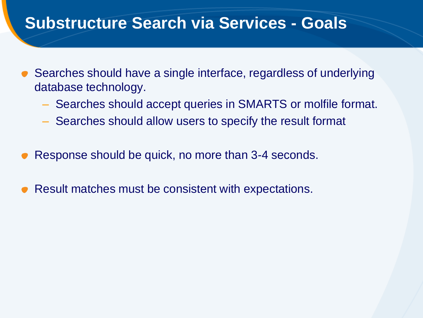#### **Substructure Search via Services - Goals**

- Searches should have a single interface, regardless of underlying database technology.
	- Searches should accept queries in SMARTS or molfile format.
	- Searches should allow users to specify the result format
- Response should be quick, no more than 3-4 seconds.
- Result matches must be consistent with expectations.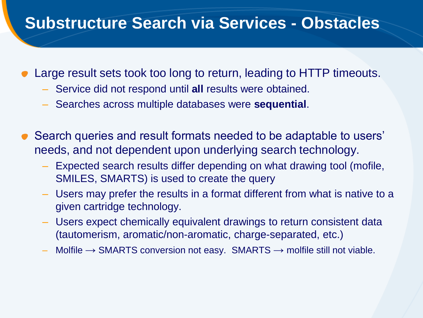#### **Substructure Search via Services - Obstacles**

- Large result sets took too long to return, leading to HTTP timeouts.
	- Service did not respond until **all** results were obtained.
	- Searches across multiple databases were **sequential**.
- Search queries and result formats needed to be adaptable to users' needs, and not dependent upon underlying search technology.
	- Expected search results differ depending on what drawing tool (mofile, SMILES, SMARTS) is used to create the query
	- Users may prefer the results in a format different from what is native to a given cartridge technology.
	- Users expect chemically equivalent drawings to return consistent data (tautomerism, aromatic/non-aromatic, charge-separated, etc.)
	- Molfile  $\rightarrow$  SMARTS conversion not easy. SMARTS  $\rightarrow$  molfile still not viable.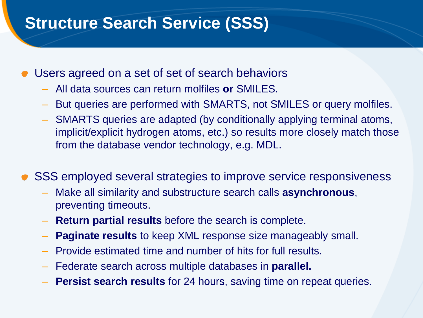## **Structure Search Service (SSS)**

- Users agreed on a set of set of search behaviors
	- All data sources can return molfiles **or** SMILES.
	- But queries are performed with SMARTS, not SMILES or query molfiles.
	- SMARTS queries are adapted (by conditionally applying terminal atoms, implicit/explicit hydrogen atoms, etc.) so results more closely match those from the database vendor technology, e.g. MDL.
- SSS employed several strategies to improve service responsiveness
	- Make all similarity and substructure search calls **asynchronous**, preventing timeouts.
	- **Return partial results** before the search is complete.
	- **Paginate results** to keep XML response size manageably small.
	- Provide estimated time and number of hits for full results.
	- Federate search across multiple databases in **parallel.**
	- **Persist search results** for 24 hours, saving time on repeat queries.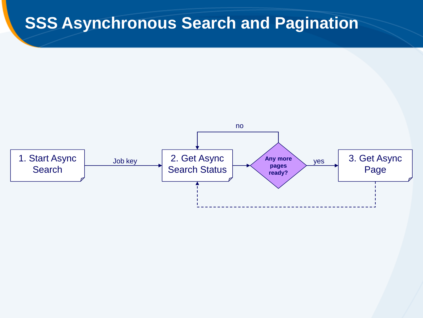#### **SSS Asynchronous Search and Pagination**

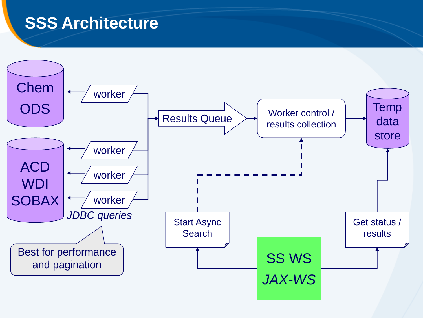#### **SSS Architecture**

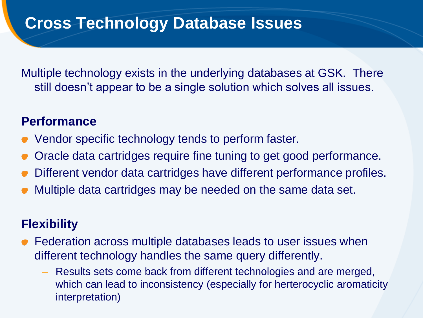### **Cross Technology Database Issues**

Multiple technology exists in the underlying databases at GSK. There still doesn't appear to be a single solution which solves all issues.

#### **Performance**

- Vendor specific technology tends to perform faster.
- Oracle data cartridges require fine tuning to get good performance.
- Different vendor data cartridges have different performance profiles.
- Multiple data cartridges may be needed on the same data set.

#### **Flexibility**

- Federation across multiple databases leads to user issues when different technology handles the same query differently.
	- Results sets come back from different technologies and are merged, which can lead to inconsistency (especially for herterocyclic aromaticity interpretation)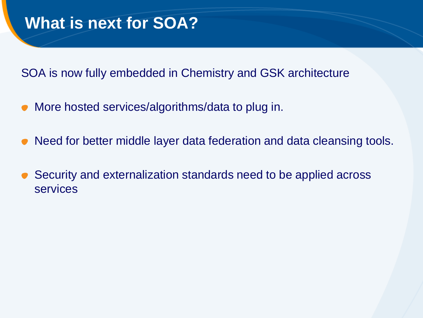# **What is next for SOA?**

SOA is now fully embedded in Chemistry and GSK architecture

- More hosted services/algorithms/data to plug in.
- Need for better middle layer data federation and data cleansing tools.
- Security and externalization standards need to be applied across **services**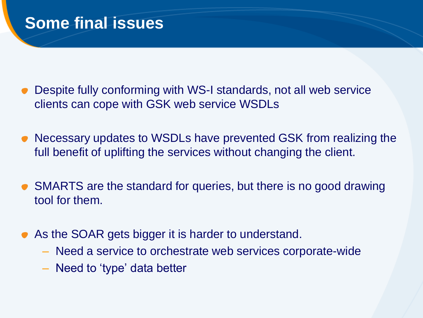#### **Some final issues**

- Despite fully conforming with WS-I standards, not all web service clients can cope with GSK web service WSDLs
- Necessary updates to WSDLs have prevented GSK from realizing the  $\bullet$ full benefit of uplifting the services without changing the client.
- SMARTS are the standard for queries, but there is no good drawing tool for them.
- As the SOAR gets bigger it is harder to understand.
	- Need a service to orchestrate web services corporate-wide
	- Need to 'type' data better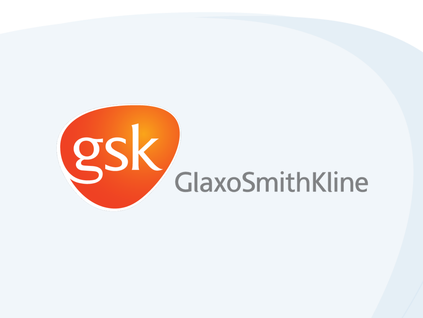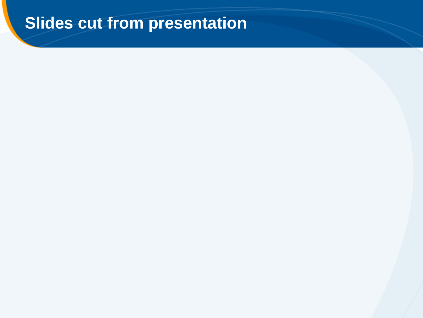# **Slides cut from presentation**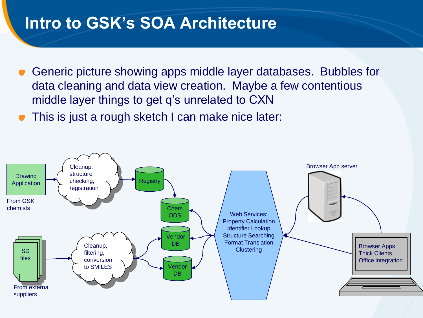#### **Intro to GSK's SOA Architecture**

- Generic picture showing apps middle layer databases. Bubbles for data cleaning and data view creation. Maybe a few contentious middle layer things to get q's unrelated to CXN
- This is just a rough sketch I can make nice later:

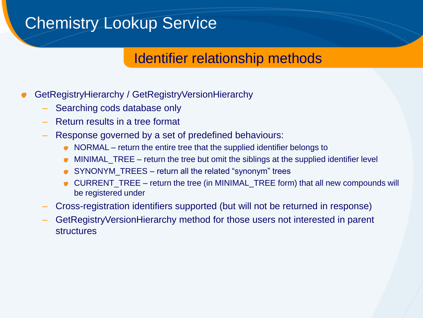### Chemistry Lookup Service

#### Identifier relationship methods

- GetRegistryHierarchy / GetRegistryVersionHierarchy
	- Searching cods database only
	- Return results in a tree format
	- Response governed by a set of predefined behaviours:
		- NORMAL return the entire tree that the supplied identifier belongs to  $\bullet$
		- MINIMAL\_TREE return the tree but omit the siblings at the supplied identifier level  $\bullet$
		- SYNONYM\_TREES return all the related "synonym" trees
		- CURRENT\_TREE return the tree (in MINIMAL\_TREE form) that all new compounds will be registered under
	- Cross-registration identifiers supported (but will not be returned in response)
	- GetRegistryVersionHierarchy method for those users not interested in parent structures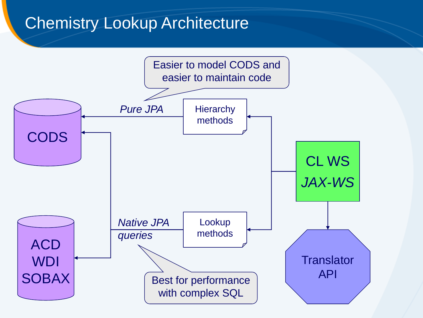### Chemistry Lookup Architecture

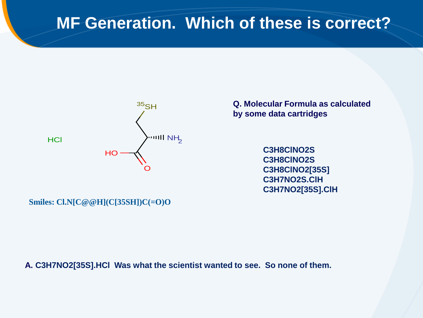### **MF Generation. Which of these is correct?**



**Q. Molecular Formula as calculated by some data cartridges**

> **C3H8ClNO2S C3H8ClNO2S C3H8ClNO2[35S] C3H7NO2S.ClH C3H7NO2[35S].ClH**

**Smiles: Cl.N[C@@H](C[35SH])C(=O)O**

**A. C3H7NO2[35S].HCl Was what the scientist wanted to see. So none of them.**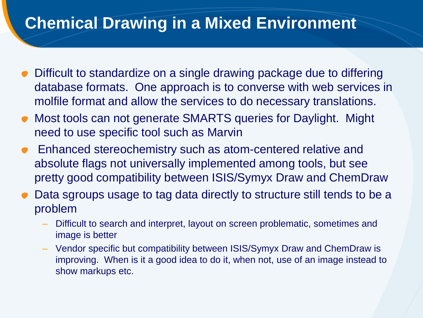# **Chemical Drawing in a Mixed Environment**

- Difficult to standardize on a single drawing package due to differing database formats. One approach is to converse with web services in molfile format and allow the services to do necessary translations.
- Most tools can not generate SMARTS queries for Daylight. Might need to use specific tool such as Marvin
- Enhanced stereochemistry such as atom-centered relative and absolute flags not universally implemented among tools, but see pretty good compatibility between ISIS/Symyx Draw and ChemDraw
- Data sgroups usage to tag data directly to structure still tends to be a problem
	- Difficult to search and interpret, layout on screen problematic, sometimes and image is better
	- Vendor specific but compatibility between ISIS/Symyx Draw and ChemDraw is improving. When is it a good idea to do it, when not, use of an image instead to show markups etc.